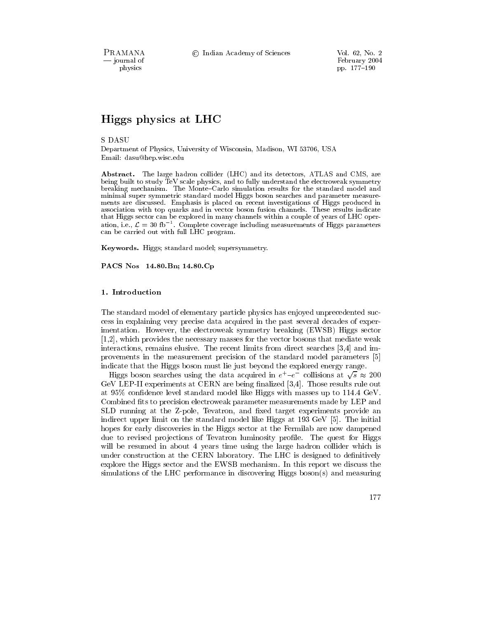PRAMANA - journal of physics

© Indian Academy of Sciences

# Higgs physics at LHC

**S DASU** 

Department of Physics, University of Wisconsin, Madison, WI 53706, USA Email: dasu@hep.wisc.edu

Abstract. The large hadron collider (LHC) and its detectors, ATLAS and CMS, are being built to study TeV scale physics, and to fully understand the electroweak symmetry breaking mechanism. The Monte-Carlo simulation results for the standard model and minimal super symmetric standard model Higgs boson searches and parameter measurements are discussed. Emphasis is placed on recent investigations of Higgs produced in association with top quarks and in vector boson fusion channels. These results indicate that Higgs sector can be explored in many channels within a couple of years of LHC operation, i.e.,  $\mathcal{L} = 30$  fb<sup>-1</sup>. Complete coverage including measurements of Higgs parameters can be carried out with full LHC program.

Keywords. Higgs; standard model; supersymmetry.

PACS Nos 14.80.Bn; 14.80.Cp

## 1. Introduction

The standard model of elementary particle physics has enjoyed unprecedented success in explaining very precise data acquired in the past several decades of experimentation. However, the electroweak symmetry breaking (EWSB) Higgs sector  $[1,2]$ , which provides the necessary masses for the vector bosons that mediate weak interactions, remains elusive. The recent limits from direct searches [3,4] and improvements in the measurement precision of the standard model parameters [5] indicate that the Higgs boson must lie just beyond the explored energy range.

Higgs boson searches using the data acquired in  $e^+ - e^-$  collisions at  $\sqrt{s} \approx 200$ GeV LEP-II experiments at CERN are being finalized [3,4]. Those results rule out at 95% confidence level standard model like Higgs with masses up to 114.4 GeV. Combined fits to precision electroweak parameter measurements made by LEP and SLD running at the Z-pole, Tevatron, and fixed target experiments provide an indirect upper limit on the standard model like Higgs at 193 GeV [5]. The initial hopes for early discoveries in the Higgs sector at the Fermilab are now dampened due to revised projections of Tevatron luminosity profile. The quest for Higgs will be resumed in about 4 years time using the large hadron collider which is under construction at the CERN laboratory. The LHC is designed to definitively explore the Higgs sector and the EWSB mechanism. In this report we discuss the simulations of the LHC performance in discovering Higgs boson(s) and measuring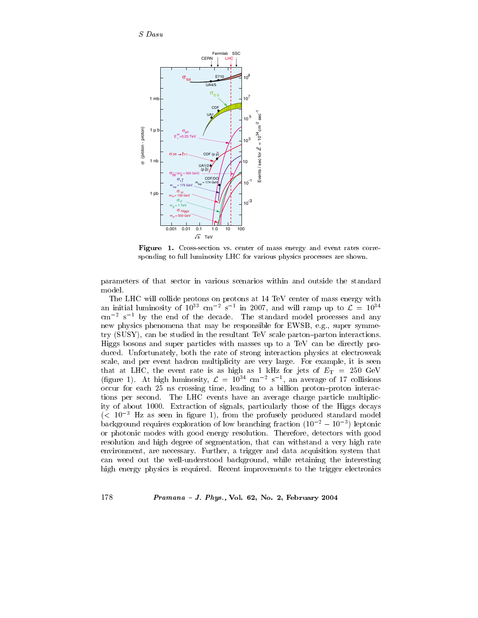

Figure 1. Cross-section vs. center of mass energy and event rates corresponding to full luminosity LHC for various physics processes are shown.

parameters of that sector in various scenarios within and outside the standard model.

The LHC will collide protons on protons at 14 TeV center of mass energy with an initial luminosity of  $10^{33}$  cm<sup>-2</sup> s<sup>-1</sup> in 2007, and will ramp up to  $\mathcal{L} = 10^{34}$  $\text{cm}^{-2}$  s<sup>-1</sup> by the end of the decade. The standard model processes and any new physics phenomena that may be responsible for EWSB, e.g., super symmetry (SUSY), can be studied in the resultant TeV scale parton-parton interactions. Higgs bosons and super particles with masses up to a TeV can be directly produced. Unfortunately, both the rate of strong interaction physics at electroweak scale, and per event hadron multiplicity are very large. For example, it is seen that at LHC, the event rate is as high as 1 kHz for jets of  $E_T = 250$  GeV (figure 1). At high luminosity,  $\mathcal{L} = 10^{34}$  cm<sup>-2</sup> s<sup>-1</sup>, an average of 17 collisions occur for each 25 ns crossing time, leading to a billion proton-proton interactions per second. The LHC events have an average charge particle multiplicity of about 1000. Extraction of signals, particularly those of the Higgs decays  $(< 10^{-3}$  Hz as seen in figure 1), from the profusely produced standard model background requires exploration of low branching fraction  $(10^{-2} - 10^{-3})$  leptonic or photonic modes with good energy resolution. Therefore, detectors with good resolution and high degree of segmentation, that can withstand a very high rate environment, are necessary. Further, a trigger and data acquisition system that can weed out the well-understood background, while retaining the interesting high energy physics is required. Recent improvements to the trigger electronics

## Pramana - J. Phys., Vol. 62, No. 2, February 2004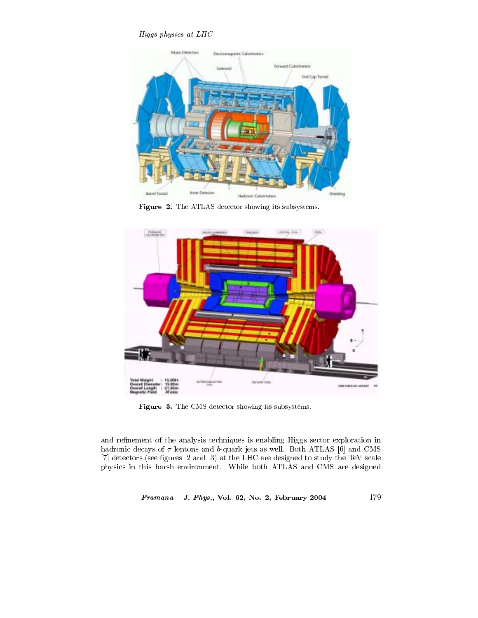Higgs physics at LHC



Figure 2. The ATLAS detector showing its subsystems.



Figure 3. The CMS detector showing its subsystems.

and refinement of the analysis techniques is enabling Higgs sector exploration in hadronic decays of  $\tau$  leptons and b-quark jets as well. Both ATLAS [6] and CMS [7] detectors (see figures 2 and 3) at the LHC are designed to study the TeV scale physics in this harsh environment. While both ATLAS and CMS are designed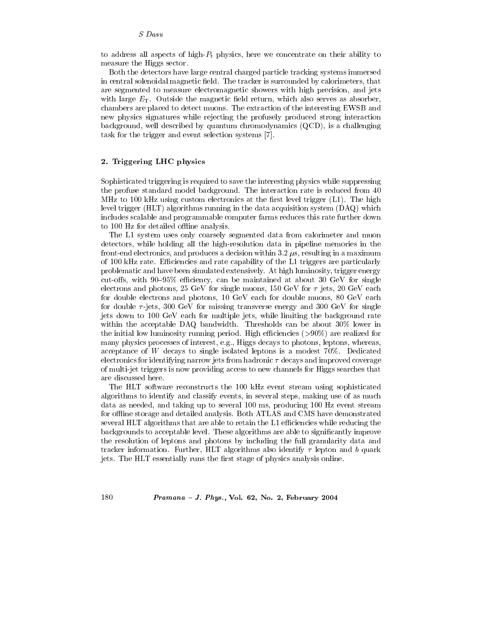to address all aspects of high- $P_t$  physics, here we concentrate on their ability to measure the Higgs sector.

Both the detectors have large central charged particle tracking systems immersed in central solenoidal magnetic field. The tracker is surrounded by calorimeters, that are segmented to measure electromagnetic showers with high precision, and jets with large  $E_T$ . Outside the magnetic field return, which also serves as absorber, chambers are placed to detect muons. The extraction of the interesting EWSB and new physics signatures while rejecting the profusely produced strong interaction background, well described by quantum chromodynamics  $(QCD)$ , is a challenging task for the trigger and event selection systems [7].

# 2. Triggering LHC physics

Sophisticated triggering is required to save the interesting physics while suppressing the profuse standard model background. The interaction rate is reduced from 40 MHz to 100 kHz using custom electronics at the first level trigger  $(L1)$ . The high level trigger  $(HLT)$  algorithms running in the data acquisition system  $(DAQ)$  which includes scalable and programmable computer farms reduces this rate further down to 100 Hz for detailed offline analysis.

The L1 system uses only coarsely segmented data from calorimeter and muon detectors, while holding all the high-resolution data in pipeline memories in the front-end electronics, and produces a decision within 3.2  $\mu$ s, resulting in a maximum of 100 kHz rate. Efficiencies and rate capability of the L1 triggers are particularly problematic and have been simulated extensively. At high luminosity, trigger energy cut-offs, with 90–95% efficiency, can be maintained at about 30 GeV for single electrons and photons, 25 GeV for single muons, 150 GeV for  $\tau$  jets, 20 GeV each for double electrons and photons, 10 GeV each for double muons, 80 GeV each for double  $\tau$ -jets, 300 GeV for missing transverse energy and 300 GeV for single jets down to 100 GeV each for multiple jets, while limiting the background rate within the acceptable DAQ bandwidth. Thresholds can be about 30% lower in the initial low luminosity running period. High efficiencies  $(>90\%)$  are realized for many physics processes of interest, e.g., Higgs decays to photons, leptons, whereas, acceptance of  $W$  decays to single isolated leptons is a modest 70%. Dedicated electronics for identifying narrow jets from hadronic  $\tau$  decays and improved coverage of multi-jet triggers is now providing access to new channels for Higgs searches that are discussed here.

The HLT software reconstructs the 100 kHz event stream using sophisticated algorithms to identify and classify events, in several steps, making use of as much data as needed, and taking up to several 100 ms, producing 100 Hz event stream for offline storage and detailed analysis. Both ATLAS and CMS have demonstrated several HLT algorithms that are able to retain the L1 efficiencies while reducing the backgrounds to acceptable level. These algorithms are able to significantly improve the resolution of leptons and photons by including the full granularity data and tracker information. Further, HLT algorithms also identify  $\tau$  lepton and b quark jets. The HLT essentially runs the first stage of physics analysis online.

180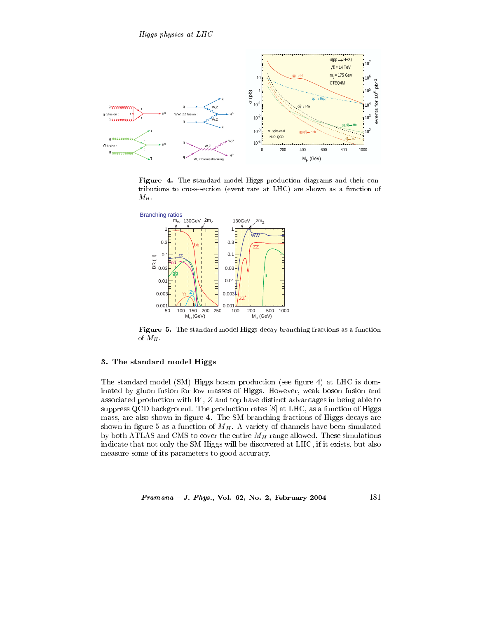

 0 \$ 411 \$ 1 \$ 8 tributions to cross-section (event rate at LHC) are shown as a function of  $M_H$ .



 $-$  . A set of the set of the set of  $\mathcal{A}^+$  , which is a set of the set of the set of the set of the set of the set of the set of the set of the set of the set of the set of the set of the set of the set of the set of of  $M_H$ .

#### -

  \$-E( #   \$ : .( 47  $\mathcal{L}$  . The state of the state of the state of  $\mathcal{L}$  , the state of the state of the state of  $\mathcal{L}$   !     # # G7 #"  )C, 47!   !   : . -<sup>E</sup> #    : /     #  $\sim$  , and the means of the set of the set of the set of  $H$  is the set of the set of the set of the set of the set of the set of the set of the set of the set of the set of the set of the set of the set of the set of the    -<sup>E</sup> # 47! ! # the contract of the contract of the contract of the contract of the contract of the contract of the contract of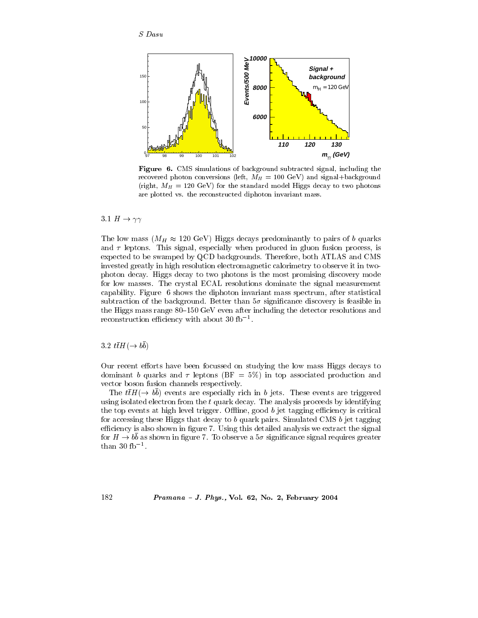

**Figure 6.** CMS simulations of background subtracted signal, including the recovered photon conversions (left,  $M_H = 100$  GeV) and signal+background (right,  $M_H = 120$  GeV) for the standard model Higgs decay to two photons are plotted vs. the reconstructed diphoton invariant mass.

3.1  $H \to \gamma\gamma$ 

The low mass  $(M_H \approx 120 \text{ GeV})$  Higgs decays predominantly to pairs of b quarks and  $\tau$  leptons. This signal, especially when produced in gluon fusion process, is expected to be swamped by QCD backgrounds. Therefore, both ATLAS and CMS invested greatly in high resolution electromagnetic calorimetry to observe it in twophoton decay. Higgs decay to two photons is the most promising discovery mode for low masses. The crystal ECAL resolutions dominate the signal measurement capability. Figure 6 shows the diphoton invariant mass spectrum, after statistical subtraction of the background. Better than  $5\sigma$  significance discovery is feasible in the Higgs mass range 80–150 GeV even after including the detector resolutions and reconstruction efficiency with about 30 fb<sup>-1</sup>.

3.2  $t\bar{t}H(\rightarrow b\bar{b})$ 

Our recent efforts have been focussed on studying the low mass Higgs decays to dominant b quarks and  $\tau$  leptons (BF = 5%) in top associated production and vector boson fusion channels respectively.

The  $t\bar{t}H(\rightarrow bb)$  events are especially rich in b jets. These events are triggered using isolated electron from the  $t$  quark decay. The analysis proceeds by identifying the top events at high level trigger. Offline, good  $b$  jet tagging efficiency is critical for accessing these Higgs that decay to  $b$  quark pairs. Simulated CMS  $b$  jet tagging efficiency is also shown in figure 7. Using this detailed analysis we extract the signal for  $H \to b\bar{b}$  as shown in figure 7. To observe a  $5\sigma$  significance signal requires greater than 30  $fb^{-1}$ .

Pramana - J. Phys., Vol. 62, No. 2, February 2004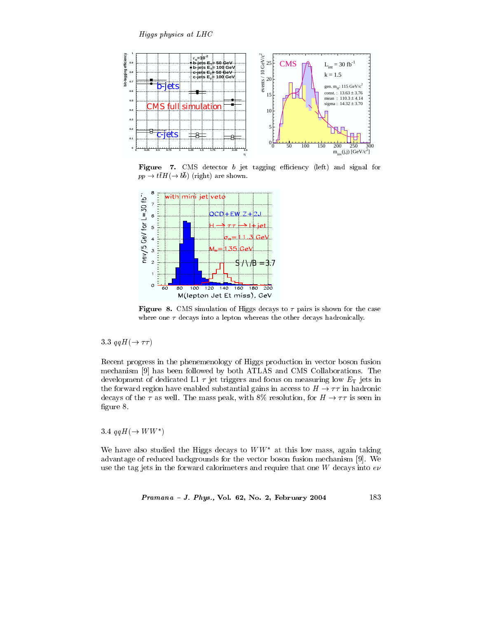

Figure 7. CMS detector  $b$  jet tagging efficiency (left) and signal for  $pp \rightarrow t\bar{t}H(\rightarrow b\bar{b})$  (right) are shown.



Figure 8. CMS simulation of Higgs decays to  $\tau$  pairs is shown for the case where one  $\tau$  decays into a lepton whereas the other decays hadronically.

3.3  $qqH(\rightarrow \tau\tau)$ 

Recent progress in the phenemenology of Higgs production in vector boson fusion mechanism [9] has been followed by both ATLAS and CMS Collaborations. The development of dedicated L1  $\tau$  jet triggers and focus on measuring low  $E_T$  jets in the forward region have enabled substantial gains in access to  $H \to \tau\tau$  in hadronic decays of the  $\tau$  as well. The mass peak, with 8% resolution, for  $H \to \tau \tau$  is seen in figure 8.

3.4  $qqH(\rightarrow WW^*)$ 

We have also studied the Higgs decays to  $WW^*$  at this low mass, again taking advantage of reduced backgrounds for the vector boson fusion mechanism [9]. We use the tag jets in the forward calorimeters and require that one  $W$  decays into  $e\nu$ 

*Pramana - J. Phys.*, Vol. 62, No. 2, February 
$$
2004
$$
 183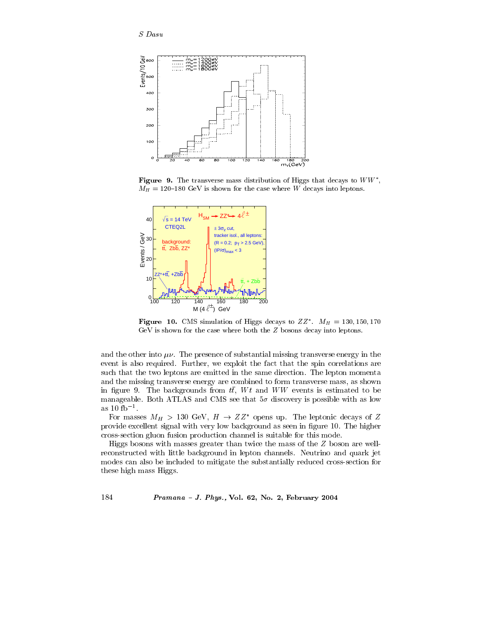

Figure 9. The transverse mass distribution of Higgs that decays to  $WW^*$ ,  $M_H = 120-180$  GeV is shown for the case where W decays into leptons.



Figure 10. CMS simulation of Higgs decays to  $ZZ^*$ .  $M_H = 130, 150, 170$  ${\rm GeV}$  is shown for the case where both the  $Z$  bosons decay into leptons.

and the other into  $\mu\nu$ . The presence of substantial missing transverse energy in the event is also required. Further, we exploit the fact that the spin correlations are such that the two leptons are emitted in the same direction. The lepton momenta and the missing transverse energy are combined to form transverse mass, as shown in figure 9. The backgrounds from  $t\bar{t}$ ,  $Wt$  and  $WW$  events is estimated to be manageable. Both ATLAS and CMS see that  $5\sigma$  discovery is possible with as low as  $10 \text{ fb}^{-1}$ .

For masses  $M_H > 130 \text{ GeV}, H \rightarrow ZZ^*$  opens up. The leptonic decays of Z provide excellent signal with very low background as seen in figure 10. The higher cross-section gluon fusion production channel is suitable for this mode.

Higgs bosons with masses greater than twice the mass of the  $Z$  boson are wellreconstructed with little background in lepton channels. Neutrino and quark jet modes can also be included to mitigate the substantially reduced cross-section for these high mass Higgs.

Pramana - J. Phys., Vol. 62, No. 2, February 2004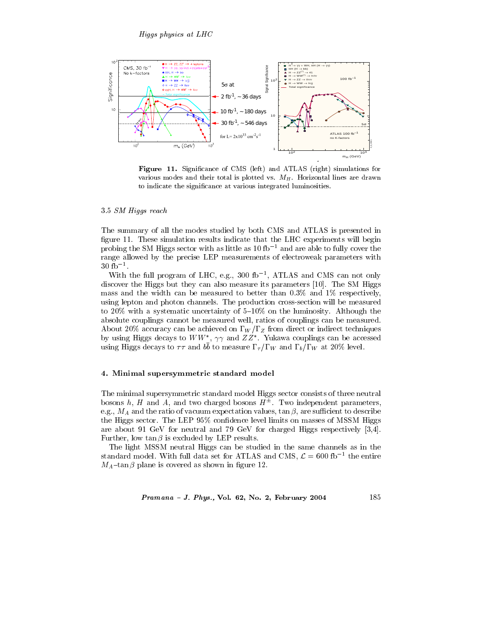

Figure 11. Significance of CMS (left) and ATLAS (right) simulations for various modes and their total is plotted vs.  $M_H$ . Horizontal lines are drawn to indicate the significance at various integrated luminosities.

#### 3.5 SM Higgs reach

The summary of all the modes studied by both CMS and ATLAS is presented in figure 11. These simulation results indicate that the LHC experiments will begin probing the SM Higgs sector with as little as  $10 fb^{-1}$  and are able to fully cover the range allowed by the precise LEP measurements of electroweak parameters with  $30 \text{ fb}^{-1}$ .

With the full program of LHC, e.g., 300 fb<sup>-1</sup>, ATLAS and CMS can not only discover the Higgs but they can also measure its parameters [10]. The SM Higgs mass and the width can be measured to better than  $0.3\%$  and  $1\%$  respectively, using lepton and photon channels. The production cross-section will be measured to 20% with a systematic uncertainty of  $5-10\%$  on the luminosity. Although the absolute couplings cannot be measured well, ratios of couplings can be measured. About 20% accuracy can be achieved on  $\Gamma_W/\Gamma_Z$  from direct or indirect techniques by using Higgs decays to  $WW^*$ ,  $\gamma\gamma$  and  $ZZ^*$ . Yukawa couplings can be accessed using Higgs decays to  $\tau\tau$  and  $b\bar{b}$  to measure  $\Gamma_{\tau}/\Gamma_W$  and  $\Gamma_b/\Gamma_W$  at 20% level.

## 4. Minimal supersymmetric standard model

The minimal supersymmetric standard model Higgs sector consists of three neutral bosons h, H and A, and two charged bosons  $H^{\pm}$ . Two independent parameters, e.g.,  $M_A$  and the ratio of vacuum expectation values,  $\tan \beta$ , are sufficient to describe the Higgs sector. The LEP 95% confidence level limits on masses of MSSM Higgs are about 91 GeV for neutral and 79 GeV for charged Higgs respectively [3,4]. Further, low  $\tan \beta$  is excluded by LEP results.

The light MSSM neutral Higgs can be studied in the same channels as in the standard model. With full data set for ATLAS and CMS,  $\mathcal{L} = 600$  fb<sup>-1</sup> the entire  $M_A$ -tan $\beta$  plane is covered as shown in figure 12.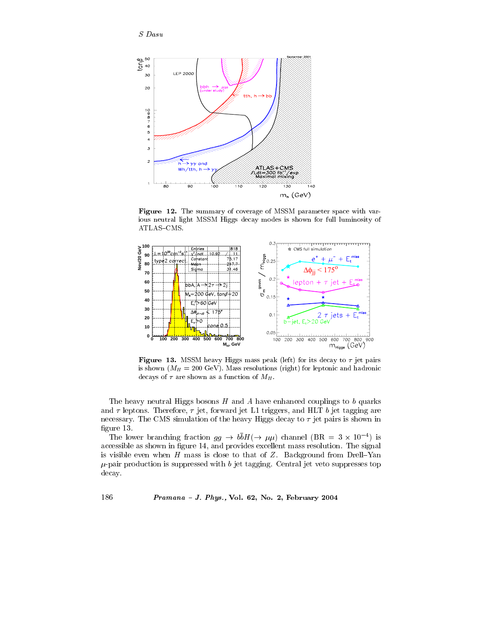$S$  Dasu



Figure 12. The summary of coverage of MSSM parameter space with various neutral light MSSM Higgs decay modes is shown for full luminosity of ATLAS-CMS.



Figure 13. MSSM heavy Higgs mass peak (left) for its decay to  $\tau$  jet pairs is shown  $(M_H = 200 \text{ GeV})$ . Mass resolutions (right) for leptonic and hadronic decays of  $\tau$  are shown as a function of  $M_H$ .

The heavy neutral Higgs bosons  $H$  and  $A$  have enhanced couplings to b quarks and  $\tau$  leptons. Therefore,  $\tau$  jet, forward jet L1 triggers, and HLT b jet tagging are necessary. The CMS simulation of the heavy Higgs decay to  $\tau$  jet pairs is shown in figure  $13$ .

The lower branching fraction  $gg \to b\bar{b}H(\to \mu\mu)$  channel (BR = 3 × 10<sup>-4</sup>) is accessible as shown in figure 14, and provides excellent mass resolution. The signal is visible even when  $H$  mass is close to that of  $Z$ . Background from Drell-Yan  $\mu$ -pair production is suppressed with b jet tagging. Central jet veto suppresses top decay.

Pramana - J. Phys., Vol. 62, No. 2, February 2004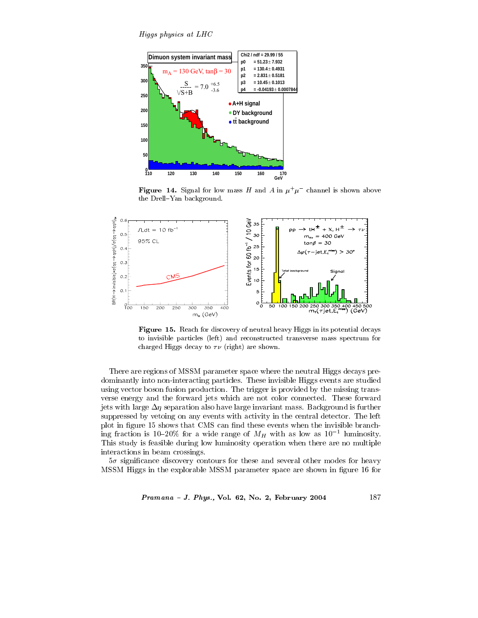Higgs physics at LHC



**Figure 14.** Signal for low mass H and A in  $\mu^+\mu^-$  channel is shown above the Drell-Yan background.



Figure 15. Reach for discovery of neutral heavy Higgs in its potential decays to invisible particles (left) and reconstructed transverse mass spectrum for charged Higgs decay to  $\tau\nu$  (right) are shown.

There are regions of MSSM parameter space where the neutral Higgs decays predominantly into non-interacting particles. These invisible Higgs events are studied using vector boson fusion production. The trigger is provided by the missing transverse energy and the forward jets which are not color connected. These forward jets with large  $\Delta \eta$  separation also have large invariant mass. Background is further suppressed by vetoing on any events with activity in the central detector. The left plot in figure 15 shows that CMS can find these events when the invisible branching fraction is 10-20% for a wide range of  $M_H$  with as low as 10<sup>-1</sup> luminosity. This study is feasible during low luminosity operation when there are no multiple interactions in beam crossings.

 $5\sigma$  significance discovery contours for these and several other modes for heavy MSSM Higgs in the explorable MSSM parameter space are shown in figure 16 for

Pramana - J. Phys., Vol. 62, No. 2, February 2004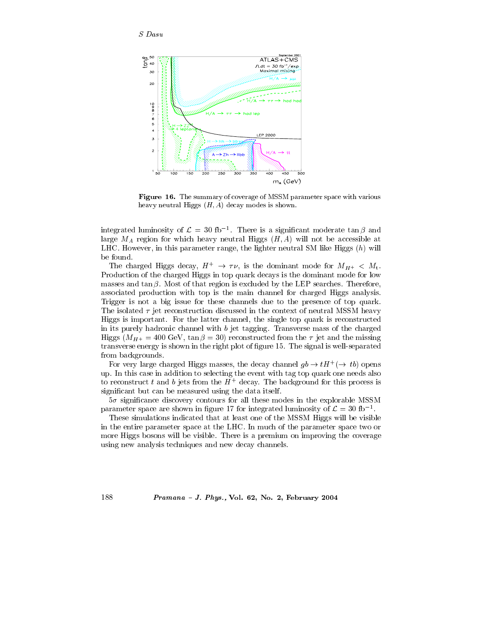

Figure 16. The summary of coverage of MSSM parameter space with various heavy neutral Higgs  $(H, A)$  decay modes is shown.

integrated luminosity of  $\mathcal{L} = 30$  fb<sup>-1</sup>. There is a significant moderate  $\tan \beta$  and large  $M_A$  region for which heavy neutral Higgs  $(H, A)$  will not be accessible at LHC. However, in this parameter range, the lighter neutral SM like Higgs  $(h)$  will be found.

The charged Higgs decay,  $H^+ \to \tau \nu$ , is the dominant mode for  $M_{H^+} < M_t$ . Production of the charged Higgs in top quark decays is the dominant mode for low masses and  $\tan \beta$ . Most of that region is excluded by the LEP searches. Therefore, associated production with top is the main channel for charged Higgs analysis. Trigger is not a big issue for these channels due to the presence of top quark. The isolated  $\tau$  jet reconstruction discussed in the context of neutral MSSM heavy Higgs is important. For the latter channel, the single top quark is reconstructed in its purely hadronic channel with  $b$  jet tagging. Transverse mass of the charged Higgs  $(M_{H^+} = 400 \text{ GeV}, \tan \beta = 30)$  reconstructed from the  $\tau$  jet and the missing transverse energy is shown in the right plot of figure 15. The signal is well-separated from backgrounds.

For very large charged Higgs masses, the decay channel  $gb \to tH^+(\to tb)$  opens up. In this case in addition to selecting the event with tag top quark one needs also to reconstruct t and b jets from the  $H^+$  decay. The background for this process is significant but can be measured using the data itself.

 $5\sigma$  significance discovery contours for all these modes in the explorable MSSM parameter space are shown in figure 17 for integrated luminosity of  $\mathcal{L} = 30$  fb<sup>-1</sup>.

These simulations indicated that at least one of the MSSM Higgs will be visible in the entire parameter space at the LHC. In much of the parameter space two or more Higgs bosons will be visible. There is a premium on improving the coverage using new analysis techniques and new decay channels.

Pramana - J. Phys., Vol. 62, No. 2, February 2004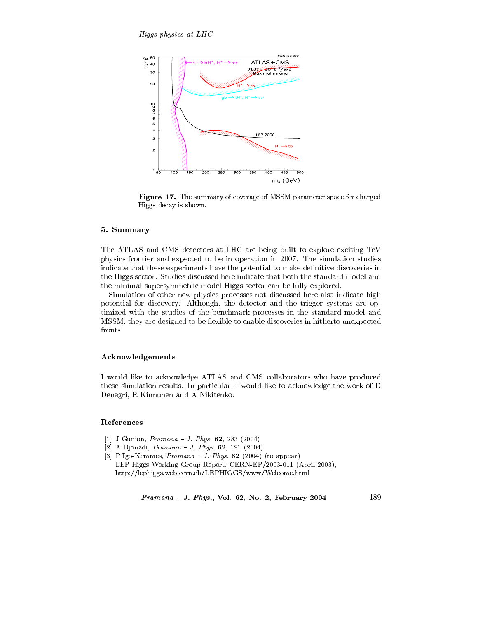

Figure 17. The summary of coverage of MSSM parameter space for charged Higgs decay is shown.

# 5. Summary

The ATLAS and CMS detectors at LHC are being built to explore exciting TeV physics frontier and expected to be in operation in 2007. The simulation studies indicate that these experiments have the potential to make definitive discoveries in the Higgs sector. Studies discussed here indicate that both the standard model and the minimal supersymmetric model Higgs sector can be fully explored.

Simulation of other new physics processes not discussed here also indicate high potential for discovery. Although, the detector and the trigger systems are optimized with the studies of the benchmark processes in the standard model and MSSM, they are designed to be flexible to enable discoveries in hitherto unexpected fronts.

# Acknowledgements

I would like to acknowledge ATLAS and CMS collaborators who have produced these simulation results. In particular, I would like to acknowledge the work of D Denegri, R Kinnunen and A Nikitenko.

## References

- [1] J Gunion, *Pramana J. Phys.* **62**, 283 (2004)
- [2] A Djouadi,  $Pramana J. Phys. 62, 191 (2004)$
- [3] P Igo-Kemmes,  $Pramana J$ . Phys. 62 (2004) (to appear) LEP Higgs Working Group Report, CERN-EP/2003-011 (April 2003), http://lephiggs.web.cern.ch/LEPHIGGS/www/Welcome.html